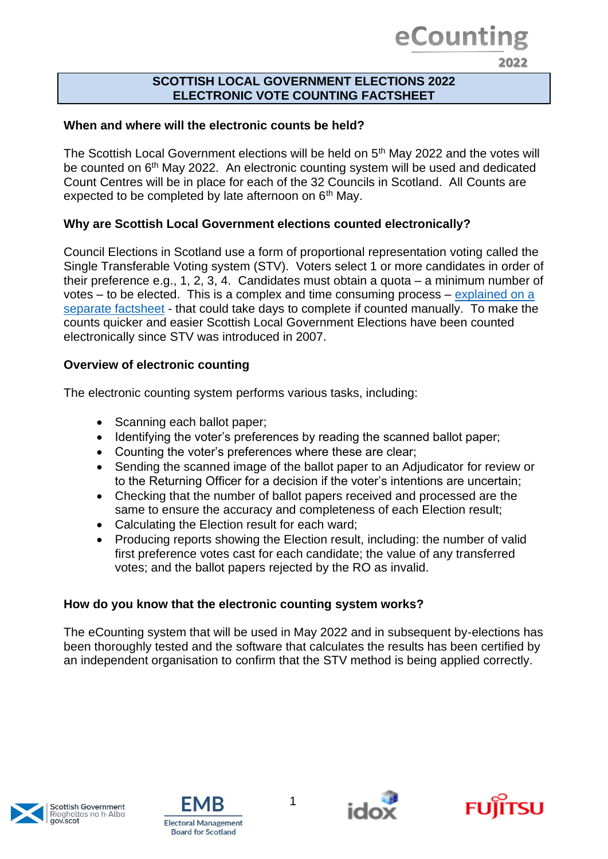## eCounting

2022

#### **SCOTTISH LOCAL GOVERNMENT ELECTIONS 2022 ELECTRONIC VOTE COUNTING FACTSHEET**

### **When and where will the electronic counts be held?**

The Scottish Local Government elections will be held on 5<sup>th</sup> May 2022 and the votes will be counted on 6<sup>th</sup> May 2022. An electronic counting system will be used and dedicated Count Centres will be in place for each of the 32 Councils in Scotland. All Counts are expected to be completed by late afternoon on 6<sup>th</sup> May.

### **Why are Scottish Local Government elections counted electronically?**

Council Elections in Scotland use a form of proportional representation voting called the Single Transferable Voting system (STV). Voters select 1 or more candidates in order of their preference e.g., 1, 2, 3, 4. Candidates must obtain a quota – a minimum number of votes – to be elected. This is a complex and time consuming process – [explained on a](https://www.emb.scot/downloads/file/933/ecounting-2022-factsheet-stv)  [separate factsheet](https://www.emb.scot/downloads/file/933/ecounting-2022-factsheet-stv) - that could take days to complete if counted manually. To make the counts quicker and easier Scottish Local Government Elections have been counted electronically since STV was introduced in 2007.

### **Overview of electronic counting**

The electronic counting system performs various tasks, including:

- Scanning each ballot paper:
- Identifying the voter's preferences by reading the scanned ballot paper;
- Counting the voter's preferences where these are clear;
- Sending the scanned image of the ballot paper to an Adjudicator for review or to the Returning Officer for a decision if the voter's intentions are uncertain;
- Checking that the number of ballot papers received and processed are the same to ensure the accuracy and completeness of each Election result;
- Calculating the Election result for each ward;
- Producing reports showing the Election result, including: the number of valid first preference votes cast for each candidate; the value of any transferred votes; and the ballot papers rejected by the RO as invalid.

### **How do you know that the electronic counting system works?**

The eCounting system that will be used in May 2022 and in subsequent by-elections has been thoroughly tested and the software that calculates the results has been certified by an independent organisation to confirm that the STV method is being applied correctly.